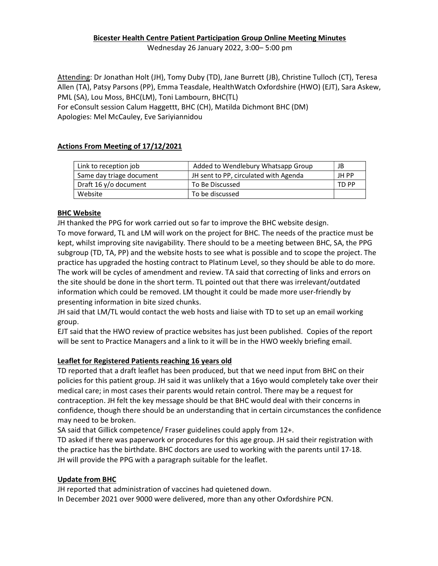# Bicester Health Centre Patient Participation Group Online Meeting Minutes

Wednesday 26 January 2022, 3:00– 5:00 pm

Attending: Dr Jonathan Holt (JH), Tomy Duby (TD), Jane Burrett (JB), Christine Tulloch (CT), Teresa Allen (TA), Patsy Parsons (PP), Emma Teasdale, HealthWatch Oxfordshire (HWO) (EJT), Sara Askew, PML (SA), Lou Moss, BHC(LM), Toni Lambourn, BHC(TL)

For eConsult session Calum Haggettt, BHC (CH), Matilda Dichmont BHC (DM) Apologies: Mel McCauley, Eve Sariyiannidou

## Actions From Meeting of 17/12/2021

| Link to reception job    | Added to Wendlebury Whatsapp Group    | JB    |
|--------------------------|---------------------------------------|-------|
| Same day triage document | JH sent to PP, circulated with Agenda | JH PP |
| Draft 16 y/o document    | To Be Discussed                       | TD PP |
| Website                  | To be discussed                       |       |

## BHC Website

JH thanked the PPG for work carried out so far to improve the BHC website design. To move forward, TL and LM will work on the project for BHC. The needs of the practice must be kept, whilst improving site navigability. There should to be a meeting between BHC, SA, the PPG subgroup (TD, TA, PP) and the website hosts to see what is possible and to scope the project. The practice has upgraded the hosting contract to Platinum Level, so they should be able to do more. The work will be cycles of amendment and review. TA said that correcting of links and errors on the site should be done in the short term. TL pointed out that there was irrelevant/outdated information which could be removed. LM thought it could be made more user-friendly by presenting information in bite sized chunks.

JH said that LM/TL would contact the web hosts and liaise with TD to set up an email working group.

EJT said that the HWO review of practice websites has just been published. Copies of the report will be sent to Practice Managers and a link to it will be in the HWO weekly briefing email.

## Leaflet for Registered Patients reaching 16 years old

TD reported that a draft leaflet has been produced, but that we need input from BHC on their policies for this patient group. JH said it was unlikely that a 16yo would completely take over their medical care; in most cases their parents would retain control. There may be a request for contraception. JH felt the key message should be that BHC would deal with their concerns in confidence, though there should be an understanding that in certain circumstances the confidence may need to be broken.

SA said that Gillick competence/ Fraser guidelines could apply from 12+.

TD asked if there was paperwork or procedures for this age group. JH said their registration with the practice has the birthdate. BHC doctors are used to working with the parents until 17-18. JH will provide the PPG with a paragraph suitable for the leaflet.

## Update from BHC

JH reported that administration of vaccines had quietened down. In December 2021 over 9000 were delivered, more than any other Oxfordshire PCN.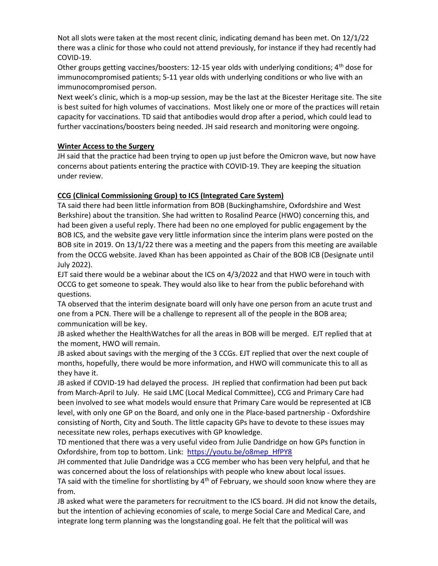Not all slots were taken at the most recent clinic, indicating demand has been met. On 12/1/22 there was a clinic for those who could not attend previously, for instance if they had recently had COVID-19.

Other groups getting vaccines/boosters: 12-15 year olds with underlying conditions; 4th dose for immunocompromised patients; 5-11 year olds with underlying conditions or who live with an immunocompromised person.

Next week's clinic, which is a mop-up session, may be the last at the Bicester Heritage site. The site is best suited for high volumes of vaccinations. Most likely one or more of the practices will retain capacity for vaccinations. TD said that antibodies would drop after a period, which could lead to further vaccinations/boosters being needed. JH said research and monitoring were ongoing.

## Winter Access to the Surgery

JH said that the practice had been trying to open up just before the Omicron wave, but now have concerns about patients entering the practice with COVID-19. They are keeping the situation under review.

## CCG (Clinical Commissioning Group) to ICS (Integrated Care System)

TA said there had been little information from BOB (Buckinghamshire, Oxfordshire and West Berkshire) about the transition. She had written to Rosalind Pearce (HWO) concerning this, and had been given a useful reply. There had been no one employed for public engagement by the BOB ICS, and the website gave very little information since the interim plans were posted on the BOB site in 2019. On 13/1/22 there was a meeting and the papers from this meeting are available from the OCCG website. Javed Khan has been appointed as Chair of the BOB ICB (Designate until July 2022).

EJT said there would be a webinar about the ICS on 4/3/2022 and that HWO were in touch with OCCG to get someone to speak. They would also like to hear from the public beforehand with questions.

TA observed that the interim designate board will only have one person from an acute trust and one from a PCN. There will be a challenge to represent all of the people in the BOB area; communication will be key.

JB asked whether the HealthWatches for all the areas in BOB will be merged. EJT replied that at the moment, HWO will remain.

JB asked about savings with the merging of the 3 CCGs. EJT replied that over the next couple of months, hopefully, there would be more information, and HWO will communicate this to all as they have it.

JB asked if COVID-19 had delayed the process. JH replied that confirmation had been put back from March-April to July. He said LMC (Local Medical Committee), CCG and Primary Care had been involved to see what models would ensure that Primary Care would be represented at ICB level, with only one GP on the Board, and only one in the Place-based partnership - Oxfordshire consisting of North, City and South. The little capacity GPs have to devote to these issues may necessitate new roles, perhaps executives with GP knowledge.

TD mentioned that there was a very useful video from Julie Dandridge on how GPs function in Oxfordshire, from top to bottom. Link: https://youtu.be/o8mep\_HfPY8

JH commented that Julie Dandridge was a CCG member who has been very helpful, and that he was concerned about the loss of relationships with people who knew about local issues.

TA said with the timeline for shortlisting by  $4<sup>th</sup>$  of February, we should soon know where they are from.

JB asked what were the parameters for recruitment to the ICS board. JH did not know the details, but the intention of achieving economies of scale, to merge Social Care and Medical Care, and integrate long term planning was the longstanding goal. He felt that the political will was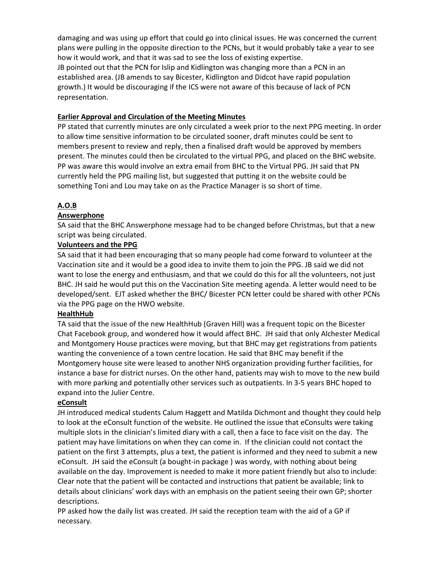damaging and was using up effort that could go into clinical issues. He was concerned the current plans were pulling in the opposite direction to the PCNs, but it would probably take a year to see how it would work, and that it was sad to see the loss of existing expertise. JB pointed out that the PCN for Islip and Kidlington was changing more than a PCN in an established area. (JB amends to say Bicester, Kidlington and Didcot have rapid population growth.) It would be discouraging if the ICS were not aware of this because of lack of PCN representation.

## Earlier Approval and Circulation of the Meeting Minutes

PP stated that currently minutes are only circulated a week prior to the next PPG meeting. In order to allow time sensitive information to be circulated sooner, draft minutes could be sent to members present to review and reply, then a finalised draft would be approved by members present. The minutes could then be circulated to the virtual PPG, and placed on the BHC website. PP was aware this would involve an extra email from BHC to the Virtual PPG. JH said that PN currently held the PPG mailing list, but suggested that putting it on the website could be something Toni and Lou may take on as the Practice Manager is so short of time.

## A.O.B

## **Answerphone**

SA said that the BHC Answerphone message had to be changed before Christmas, but that a new script was being circulated.

## Volunteers and the PPG

SA said that it had been encouraging that so many people had come forward to volunteer at the Vaccination site and it would be a good idea to invite them to join the PPG. JB said we did not want to lose the energy and enthusiasm, and that we could do this for all the volunteers, not just BHC. JH said he would put this on the Vaccination Site meeting agenda. A letter would need to be developed/sent. EJT asked whether the BHC/ Bicester PCN letter could be shared with other PCNs via the PPG page on the HWO website.

## HealthHub

TA said that the issue of the new HealthHub (Graven Hill) was a frequent topic on the Bicester Chat Facebook group, and wondered how it would affect BHC. JH said that only Alchester Medical and Montgomery House practices were moving, but that BHC may get registrations from patients wanting the convenience of a town centre location. He said that BHC may benefit if the Montgomery house site were leased to another NHS organization providing further facilities, for instance a base for district nurses. On the other hand, patients may wish to move to the new build with more parking and potentially other services such as outpatients. In 3-5 years BHC hoped to expand into the Julier Centre.

## eConsult

JH introduced medical students Calum Haggett and Matilda Dichmont and thought they could help to look at the eConsult function of the website. He outlined the issue that eConsults were taking multiple slots in the clinician's limited diary with a call, then a face to face visit on the day. The patient may have limitations on when they can come in. If the clinician could not contact the patient on the first 3 attempts, plus a text, the patient is informed and they need to submit a new eConsult. JH said the eConsult (a bought-in package ) was wordy, with nothing about being available on the day. Improvement is needed to make it more patient friendly but also to include: Clear note that the patient will be contacted and instructions that patient be available; link to details about clinicians' work days with an emphasis on the patient seeing their own GP; shorter descriptions.

PP asked how the daily list was created. JH said the reception team with the aid of a GP if necessary.